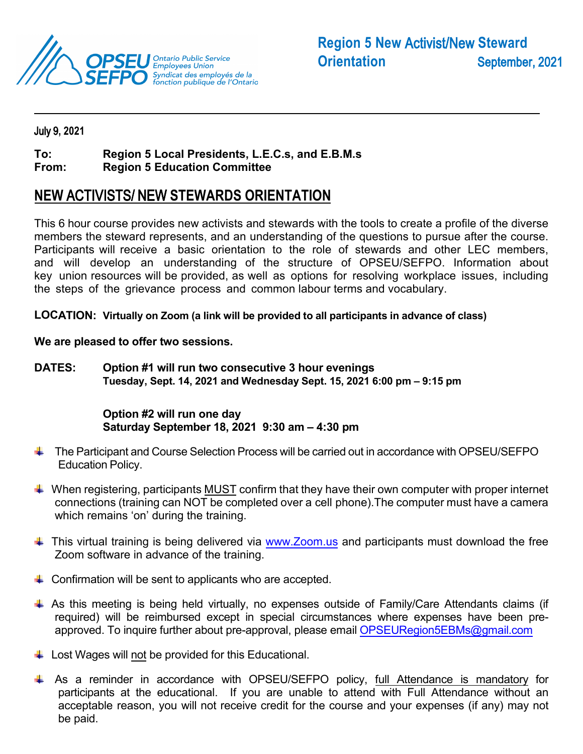

### July 9**, 2021**

#### **Region 5 Local Presidents, L.E.C.s, and E.B.M.s To:**

**From: Region 5 Education Committee**

# **NEW** ACTIVISTS/ NEW **STEWARDS ORIENTATION**

This 6 hour course provides new activists and stewards with the tools to create a profile of the diverse members the steward represents, and an understanding of the questions to pursue after the course. Participants will receive a basic orientation to the role of stewards and other LEC members, and will develop an understanding of the structure of OPSEU/SEFPO. Information about key union resources will be provided, as well as options for resolving workplace issues, including the steps of the grievance process and common labour terms and vocabulary.

**LOCATION: Virtually on Zoom (a link will be provided to all participants in advance of class)** 

#### **We are pleased to offer two sessions.**

**DATES: Option #1 will run two consecutive 3 hour evenings Tuesday, Sept. 14, 2021 and Wednesday Sept. 15, 2021 6:00 pm – 9:15 pm** 

## **Option #2 will run one day Saturday September 18, 2021 9:30 am – 4:30 pm**

- $\pm$  The Participant and Course Selection Process will be carried out in accordance with OPSEU/SEFPO Education Policy.
- $\ddot{\phantom{1}}$  When registering, participants MUST confirm that they have their own computer with proper internet connections (training can NOT be completed over a cell phone).The computer must have a camera which remains 'on' during the training.
- $\ddot{\phantom{1}}$  This virtual training is being delivered via [www.Zoom.us](http://www.zoom.us/) and participants must download the free Zoom software in advance of the training.
- $\downarrow$  Confirmation will be sent to applicants who are accepted.
- $\ddot$  As this meeting is being held virtually, no expenses outside of Family/Care Attendants claims (if required) will be reimbursed except in special circumstances where expenses have been pre-approved. To inquire further about pre-approval, please email [OPSEURegion5EBMs@gmail.com](mailto:OPSEURegion5EBMs@gmail.com)
- $\downarrow$  Lost Wages will not be provided for this Educational.
- As a reminder in accordance with OPSEU/SEFPO policy, full Attendance is mandatory for participants at the educational. If you are unable to attend with Full Attendance without an acceptable reason, you will not receive credit for the course and your expenses (if any) may not be paid.